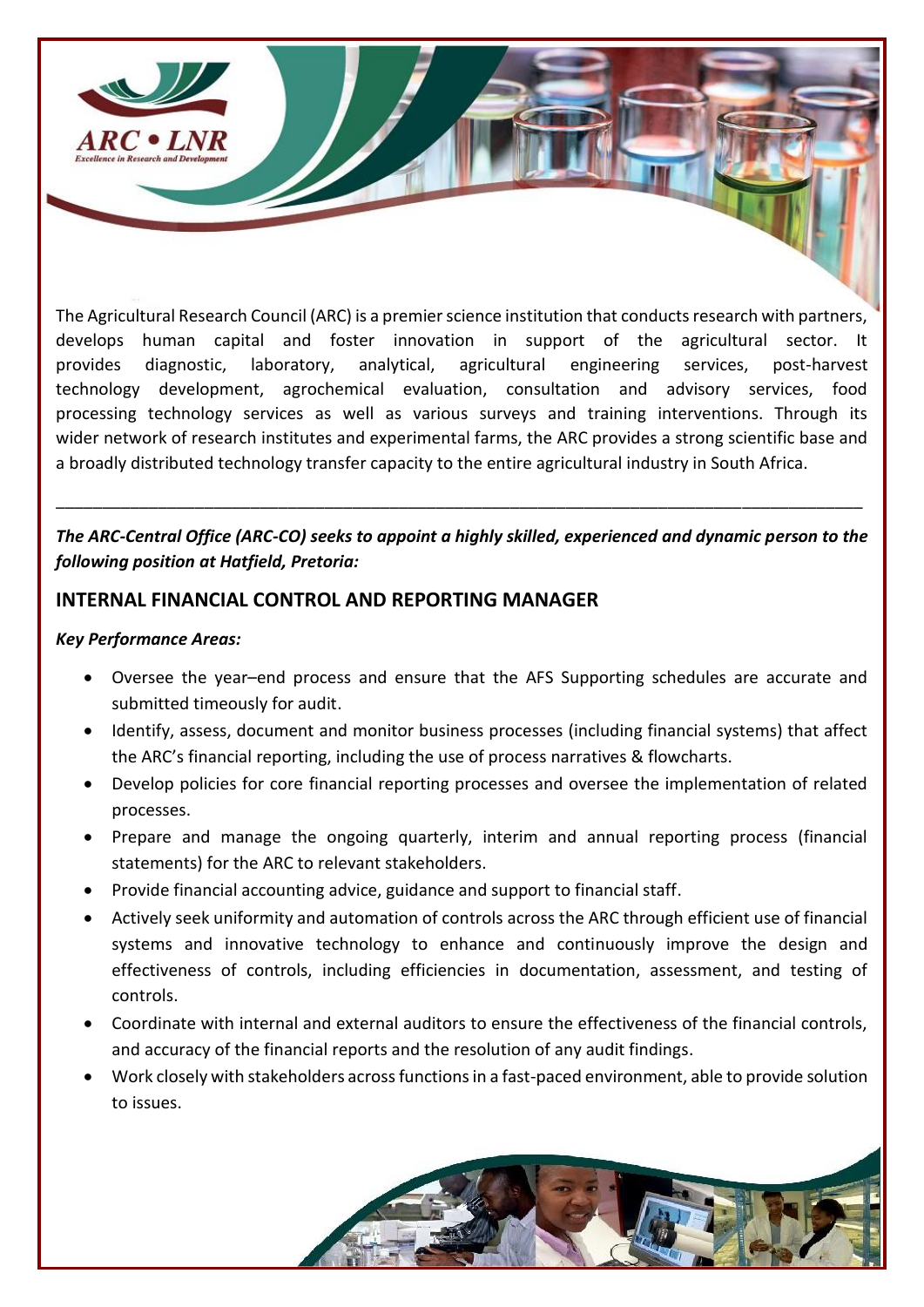

The Agricultural Research Council (ARC) is a premier science institution that conducts research with partners, develops human capital and foster innovation in support of the agricultural sector. It provides diagnostic, laboratory, analytical, agricultural engineering services, post-harvest technology development, agrochemical evaluation, consultation and advisory services, food processing technology services as well as various surveys and training interventions. Through its wider network of research institutes and experimental farms, the ARC provides a strong scientific base and a broadly distributed technology transfer capacity to the entire agricultural industry in South Africa.

## *The ARC-Central Office (ARC-CO) seeks to appoint a highly skilled, experienced and dynamic person to the following position at Hatfield, Pretoria:*

\_\_\_\_\_\_\_\_\_\_\_\_\_\_\_\_\_\_\_\_\_\_\_\_\_\_\_\_\_\_\_\_\_\_\_\_\_\_\_\_\_\_\_\_\_\_\_\_\_\_\_\_\_\_\_\_\_\_\_\_\_\_\_\_\_\_\_\_\_\_\_\_\_\_\_\_\_\_\_\_\_\_\_\_\_\_\_

### **INTERNAL FINANCIAL CONTROL AND REPORTING MANAGER**

#### *Key Performance Areas:*

- Oversee the year–end process and ensure that the AFS Supporting schedules are accurate and submitted timeously for audit.
- Identify, assess, document and monitor business processes (including financial systems) that affect the ARC's financial reporting, including the use of process narratives & flowcharts.
- Develop policies for core financial reporting processes and oversee the implementation of related processes.
- Prepare and manage the ongoing quarterly, interim and annual reporting process (financial statements) for the ARC to relevant stakeholders.
- Provide financial accounting advice, guidance and support to financial staff.
- Actively seek uniformity and automation of controls across the ARC through efficient use of financial systems and innovative technology to enhance and continuously improve the design and effectiveness of controls, including efficiencies in documentation, assessment, and testing of controls.
- Coordinate with internal and external auditors to ensure the effectiveness of the financial controls, and accuracy of the financial reports and the resolution of any audit findings.
- Work closely with stakeholders across functions in a fast-paced environment, able to provide solution to issues.

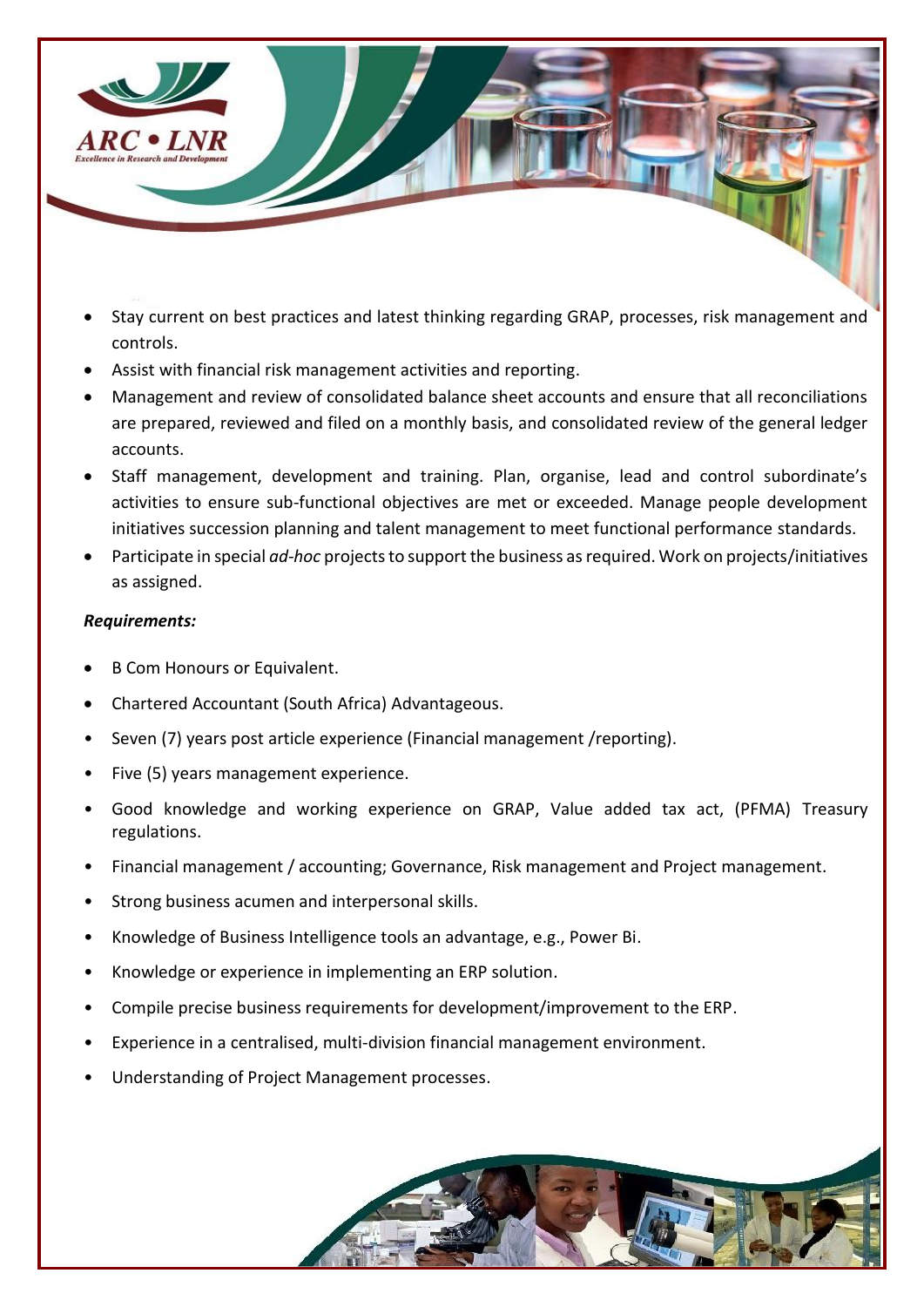

- Stay current on best practices and latest thinking regarding GRAP, processes, risk management and controls.
- Assist with financial risk management activities and reporting.
- Management and review of consolidated balance sheet accounts and ensure that all reconciliations are prepared, reviewed and filed on a monthly basis, and consolidated review of the general ledger accounts.
- Staff management, development and training. Plan, organise, lead and control subordinate's activities to ensure sub-functional objectives are met or exceeded. Manage people development initiatives succession planning and talent management to meet functional performance standards.
- Participate in special *ad-hoc* projects to support the business as required. Work on projects/initiatives as assigned.

#### *Requirements:*

- **B Com Honours or Equivalent.**
- Chartered Accountant (South Africa) Advantageous.
- Seven (7) years post article experience (Financial management /reporting).
- Five (5) years management experience.
- Good knowledge and working experience on GRAP, Value added tax act, (PFMA) Treasury regulations.
- Financial management / accounting; Governance, Risk management and Project management.
- Strong business acumen and interpersonal skills.
- Knowledge of Business Intelligence tools an advantage, e.g., Power Bi.
- Knowledge or experience in implementing an ERP solution.
- Compile precise business requirements for development/improvement to the ERP.
- Experience in a centralised, multi-division financial management environment.
- Understanding of Project Management processes.